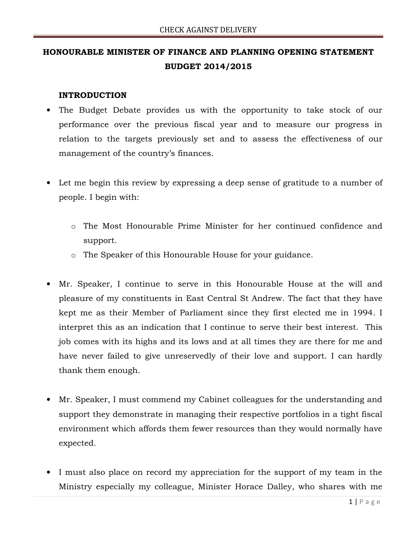### HONOURABLE MINISTER OF FINANCE AND PLANNING OPENING STATEMENT BUDGET 2014/2015

#### INTRODUCTION

- The Budget Debate provides us with the opportunity to take stock of our performance over the previous fiscal year and to measure our progress in relation to the targets previously set and to assess the effectiveness of our management of the country's finances.
- Let me begin this review by expressing a deep sense of gratitude to a number of people. I begin with:
	- o The Most Honourable Prime Minister for her continued confidence and support.
	- o The Speaker of this Honourable House for your guidance.
- Mr. Speaker, I continue to serve in this Honourable House at the will and pleasure of my constituents in East Central St Andrew. The fact that they have kept me as their Member of Parliament since they first elected me in 1994. I interpret this as an indication that I continue to serve their best interest. This job comes with its highs and its lows and at all times they are there for me and have never failed to give unreservedly of their love and support. I can hardly thank them enough.
- Mr. Speaker, I must commend my Cabinet colleagues for the understanding and support they demonstrate in managing their respective portfolios in a tight fiscal environment which affords them fewer resources than they would normally have expected.
- I must also place on record my appreciation for the support of my team in the Ministry especially my colleague, Minister Horace Dalley, who shares with me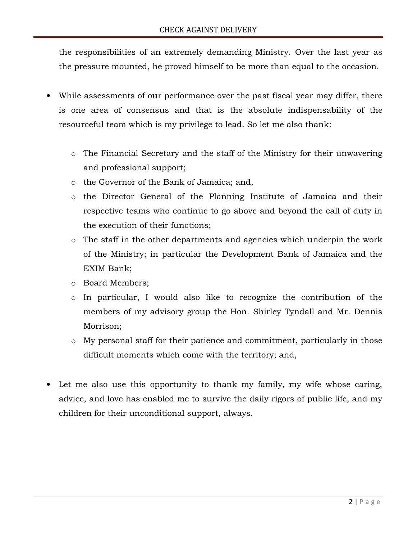the responsibilities of an extremely demanding Ministry. Over the last year as the pressure mounted, he proved himself to be more than equal to the occasion.

- While assessments of our performance over the past fiscal year may differ, there is one area of consensus and that is the absolute indispensability of the resourceful team which is my privilege to lead. So let me also thank:
	- o The Financial Secretary and the staff of the Ministry for their unwavering and professional support;
	- o the Governor of the Bank of Jamaica; and,
	- o the Director General of the Planning Institute of Jamaica and their respective teams who continue to go above and beyond the call of duty in the execution of their functions;
	- o The staff in the other departments and agencies which underpin the work of the Ministry; in particular the Development Bank of Jamaica and the EXIM Bank;
	- o Board Members;
	- o In particular, I would also like to recognize the contribution of the members of my advisory group the Hon. Shirley Tyndall and Mr. Dennis Morrison;
	- o My personal staff for their patience and commitment, particularly in those difficult moments which come with the territory; and,
- Let me also use this opportunity to thank my family, my wife whose caring, advice, and love has enabled me to survive the daily rigors of public life, and my children for their unconditional support, always.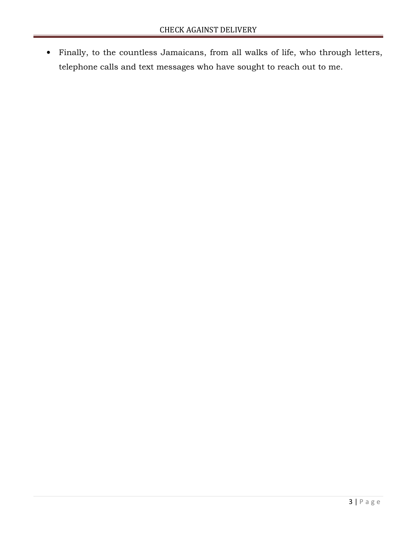• Finally, to the countless Jamaicans, from all walks of life, who through letters, telephone calls and text messages who have sought to reach out to me.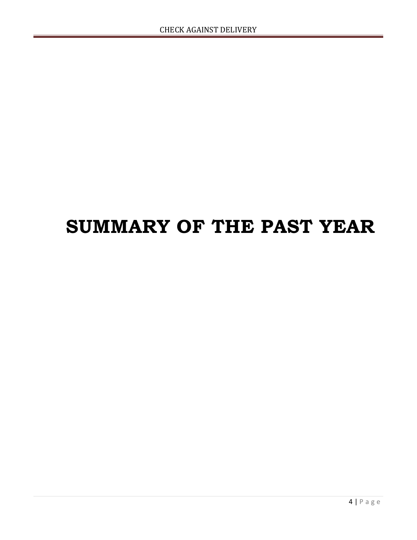### SUMMARY OF THE PAST YEAR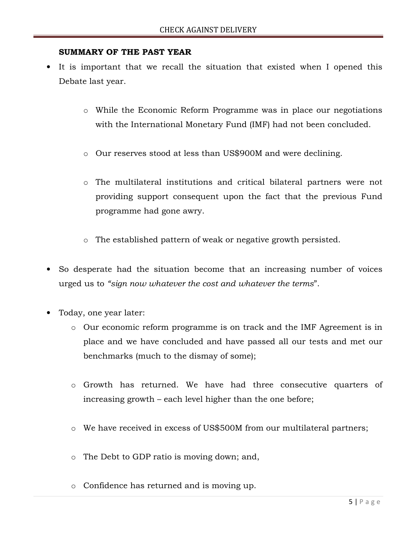#### SUMMARY OF THE PAST YEAR

- It is important that we recall the situation that existed when I opened this Debate last year.
	- o While the Economic Reform Programme was in place our negotiations with the International Monetary Fund (IMF) had not been concluded.
	- o Our reserves stood at less than US\$900M and were declining.
	- o The multilateral institutions and critical bilateral partners were not providing support consequent upon the fact that the previous Fund programme had gone awry.
	- o The established pattern of weak or negative growth persisted.
- So desperate had the situation become that an increasing number of voices urged us to "sign now whatever the cost and whatever the terms".
- Today, one year later:
	- o Our economic reform programme is on track and the IMF Agreement is in place and we have concluded and have passed all our tests and met our benchmarks (much to the dismay of some);
	- o Growth has returned. We have had three consecutive quarters of increasing growth – each level higher than the one before;
	- o We have received in excess of US\$500M from our multilateral partners;
	- o The Debt to GDP ratio is moving down; and,
	- o Confidence has returned and is moving up.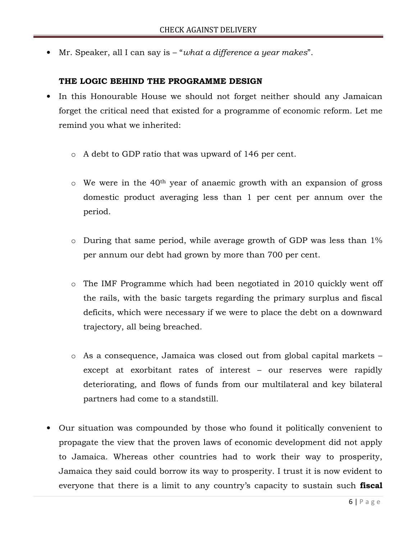• Mr. Speaker, all I can say is – "what a difference a year makes".

#### THE LOGIC BEHIND THE PROGRAMME DESIGN

- In this Honourable House we should not forget neither should any Jamaican forget the critical need that existed for a programme of economic reform. Let me remind you what we inherited:
	- o A debt to GDP ratio that was upward of 146 per cent.
	- o We were in the 40th year of anaemic growth with an expansion of gross domestic product averaging less than 1 per cent per annum over the period.
	- o During that same period, while average growth of GDP was less than 1% per annum our debt had grown by more than 700 per cent.
	- o The IMF Programme which had been negotiated in 2010 quickly went off the rails, with the basic targets regarding the primary surplus and fiscal deficits, which were necessary if we were to place the debt on a downward trajectory, all being breached.
	- o As a consequence, Jamaica was closed out from global capital markets except at exorbitant rates of interest – our reserves were rapidly deteriorating, and flows of funds from our multilateral and key bilateral partners had come to a standstill.
- Our situation was compounded by those who found it politically convenient to propagate the view that the proven laws of economic development did not apply to Jamaica. Whereas other countries had to work their way to prosperity, Jamaica they said could borrow its way to prosperity. I trust it is now evident to everyone that there is a limit to any country's capacity to sustain such **fiscal**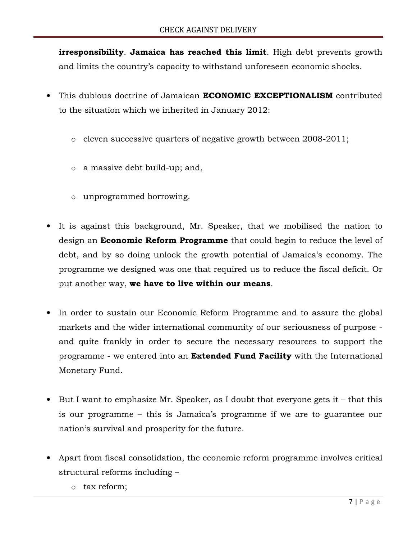irresponsibility. Jamaica has reached this limit. High debt prevents growth and limits the country's capacity to withstand unforeseen economic shocks.

- This dubious doctrine of Jamaican **ECONOMIC EXCEPTIONALISM** contributed to the situation which we inherited in January 2012:
	- o eleven successive quarters of negative growth between 2008-2011;
	- o a massive debt build-up; and,
	- o unprogrammed borrowing.
- It is against this background, Mr. Speaker, that we mobilised the nation to design an **Economic Reform Programme** that could begin to reduce the level of debt, and by so doing unlock the growth potential of Jamaica's economy. The programme we designed was one that required us to reduce the fiscal deficit. Or put another way, we have to live within our means.
- In order to sustain our Economic Reform Programme and to assure the global markets and the wider international community of our seriousness of purpose and quite frankly in order to secure the necessary resources to support the programme - we entered into an **Extended Fund Facility** with the International Monetary Fund.
- But I want to emphasize Mr. Speaker, as I doubt that everyone gets it that this is our programme – this is Jamaica's programme if we are to guarantee our nation's survival and prosperity for the future.
- Apart from fiscal consolidation, the economic reform programme involves critical structural reforms including –
	- o tax reform;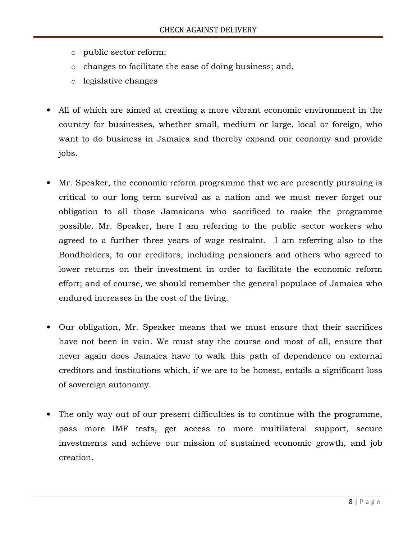- o public sector reform;
- o changes to facilitate the ease of doing business; and,
- o legislative changes
- All of which are aimed at creating a more vibrant economic environment in the country for businesses, whether small, medium or large, local or foreign, who want to do business in Jamaica and thereby expand our economy and provide jobs.
- Mr. Speaker, the economic reform programme that we are presently pursuing is critical to our long term survival as a nation and we must never forget our obligation to all those Jamaicans who sacrificed to make the programme possible. Mr. Speaker, here I am referring to the public sector workers who agreed to a further three years of wage restraint. I am referring also to the Bondholders, to our creditors, including pensioners and others who agreed to lower returns on their investment in order to facilitate the economic reform effort; and of course, we should remember the general populace of Jamaica who endured increases in the cost of the living.
- Our obligation, Mr. Speaker means that we must ensure that their sacrifices have not been in vain. We must stay the course and most of all, ensure that never again does Jamaica have to walk this path of dependence on external creditors and institutions which, if we are to be honest, entails a significant loss of sovereign autonomy.
- The only way out of our present difficulties is to continue with the programme, pass more IMF tests, get access to more multilateral support, secure investments and achieve our mission of sustained economic growth, and job creation.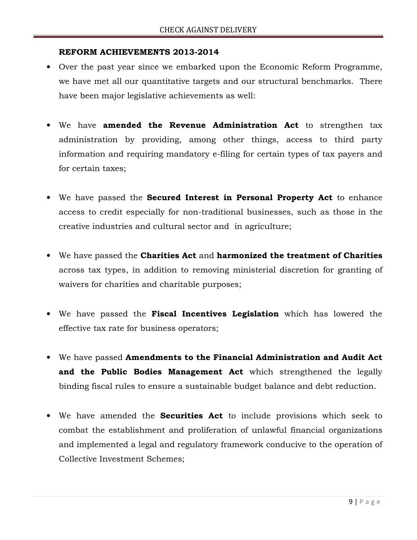#### REFORM ACHIEVEMENTS 2013-2014

- Over the past year since we embarked upon the Economic Reform Programme, we have met all our quantitative targets and our structural benchmarks. There have been major legislative achievements as well:
- We have amended the Revenue Administration Act to strengthen tax administration by providing, among other things, access to third party information and requiring mandatory e-filing for certain types of tax payers and for certain taxes;
- We have passed the **Secured Interest in Personal Property Act** to enhance access to credit especially for non-traditional businesses, such as those in the creative industries and cultural sector and in agriculture;
- We have passed the Charities Act and harmonized the treatment of Charities across tax types, in addition to removing ministerial discretion for granting of waivers for charities and charitable purposes;
- We have passed the Fiscal Incentives Legislation which has lowered the effective tax rate for business operators;
- We have passed Amendments to the Financial Administration and Audit Act and the Public Bodies Management Act which strengthened the legally binding fiscal rules to ensure a sustainable budget balance and debt reduction.
- We have amended the **Securities Act** to include provisions which seek to combat the establishment and proliferation of unlawful financial organizations and implemented a legal and regulatory framework conducive to the operation of Collective Investment Schemes;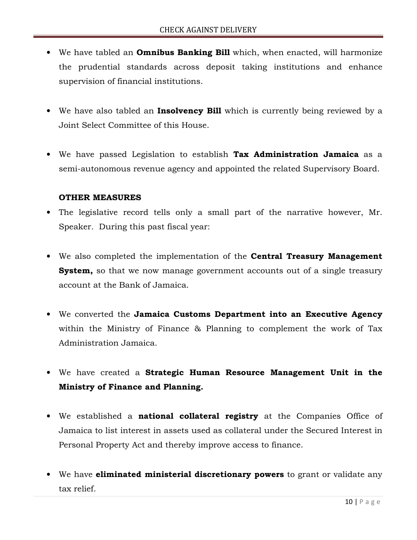- We have tabled an **Omnibus Banking Bill** which, when enacted, will harmonize the prudential standards across deposit taking institutions and enhance supervision of financial institutions.
- We have also tabled an **Insolvency Bill** which is currently being reviewed by a Joint Select Committee of this House.
- We have passed Legislation to establish Tax Administration Jamaica as a semi-autonomous revenue agency and appointed the related Supervisory Board.

#### OTHER MEASURES

- The legislative record tells only a small part of the narrative however, Mr. Speaker. During this past fiscal year:
- We also completed the implementation of the **Central Treasury Management System,** so that we now manage government accounts out of a single treasury account at the Bank of Jamaica.
- We converted the Jamaica Customs Department into an Executive Agency within the Ministry of Finance & Planning to complement the work of Tax Administration Jamaica.
- We have created a Strategic Human Resource Management Unit in the Ministry of Finance and Planning.
- We established a **national collateral registry** at the Companies Office of Jamaica to list interest in assets used as collateral under the Secured Interest in Personal Property Act and thereby improve access to finance.
- We have **eliminated ministerial discretionary powers** to grant or validate any tax relief.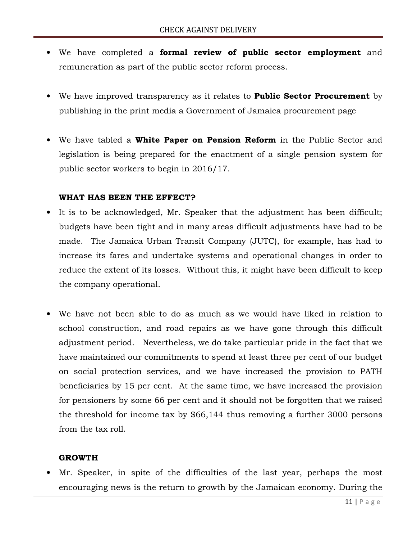- We have completed a formal review of public sector employment and remuneration as part of the public sector reform process.
- We have improved transparency as it relates to **Public Sector Procurement** by publishing in the print media a Government of Jamaica procurement page
- We have tabled a White Paper on Pension Reform in the Public Sector and legislation is being prepared for the enactment of a single pension system for public sector workers to begin in 2016/17.

#### WHAT HAS BEEN THE EFFECT?

- It is to be acknowledged, Mr. Speaker that the adjustment has been difficult; budgets have been tight and in many areas difficult adjustments have had to be made. The Jamaica Urban Transit Company (JUTC), for example, has had to increase its fares and undertake systems and operational changes in order to reduce the extent of its losses. Without this, it might have been difficult to keep the company operational.
- We have not been able to do as much as we would have liked in relation to school construction, and road repairs as we have gone through this difficult adjustment period. Nevertheless, we do take particular pride in the fact that we have maintained our commitments to spend at least three per cent of our budget on social protection services, and we have increased the provision to PATH beneficiaries by 15 per cent. At the same time, we have increased the provision for pensioners by some 66 per cent and it should not be forgotten that we raised the threshold for income tax by \$66,144 thus removing a further 3000 persons from the tax roll.

#### GROWTH

Mr. Speaker, in spite of the difficulties of the last year, perhaps the most encouraging news is the return to growth by the Jamaican economy. During the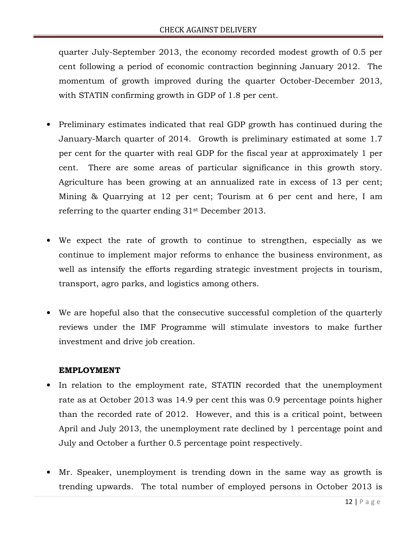quarter July-September 2013, the economy recorded modest growth of 0.5 per cent following a period of economic contraction beginning January 2012. The momentum of growth improved during the quarter October-December 2013, with STATIN confirming growth in GDP of 1.8 per cent.

- Preliminary estimates indicated that real GDP growth has continued during the January-March quarter of 2014. Growth is preliminary estimated at some 1.7 per cent for the quarter with real GDP for the fiscal year at approximately 1 per cent. There are some areas of particular significance in this growth story. Agriculture has been growing at an annualized rate in excess of 13 per cent; Mining & Quarrying at 12 per cent; Tourism at 6 per cent and here, I am referring to the quarter ending 31st December 2013.
- We expect the rate of growth to continue to strengthen, especially as we continue to implement major reforms to enhance the business environment, as well as intensify the efforts regarding strategic investment projects in tourism, transport, agro parks, and logistics among others.
- We are hopeful also that the consecutive successful completion of the quarterly reviews under the IMF Programme will stimulate investors to make further investment and drive job creation.

#### EMPLOYMENT

- In relation to the employment rate, STATIN recorded that the unemployment rate as at October 2013 was 14.9 per cent this was 0.9 percentage points higher than the recorded rate of 2012. However, and this is a critical point, between April and July 2013, the unemployment rate declined by 1 percentage point and July and October a further 0.5 percentage point respectively.
- Mr. Speaker, unemployment is trending down in the same way as growth is trending upwards. The total number of employed persons in October 2013 is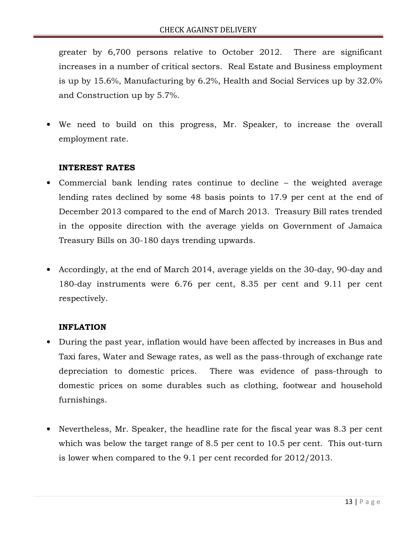greater by 6,700 persons relative to October 2012. There are significant increases in a number of critical sectors. Real Estate and Business employment is up by 15.6%, Manufacturing by 6.2%, Health and Social Services up by 32.0% and Construction up by 5.7%.

We need to build on this progress, Mr. Speaker, to increase the overall employment rate.

#### INTEREST RATES

- Commercial bank lending rates continue to decline the weighted average lending rates declined by some 48 basis points to 17.9 per cent at the end of December 2013 compared to the end of March 2013. Treasury Bill rates trended in the opposite direction with the average yields on Government of Jamaica Treasury Bills on 30-180 days trending upwards.
- Accordingly, at the end of March 2014, average yields on the 30-day, 90-day and 180-day instruments were 6.76 per cent, 8.35 per cent and 9.11 per cent respectively.

#### INFLATION

- During the past year, inflation would have been affected by increases in Bus and Taxi fares, Water and Sewage rates, as well as the pass-through of exchange rate depreciation to domestic prices. There was evidence of pass-through to domestic prices on some durables such as clothing, footwear and household furnishings.
- Nevertheless, Mr. Speaker, the headline rate for the fiscal year was 8.3 per cent which was below the target range of 8.5 per cent to 10.5 per cent. This out-turn is lower when compared to the 9.1 per cent recorded for 2012/2013.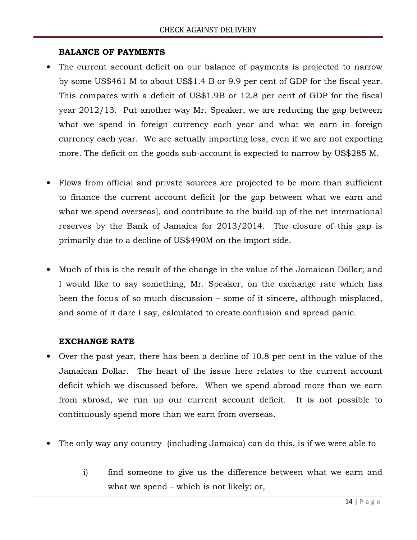#### BALANCE OF PAYMENTS

- The current account deficit on our balance of payments is projected to narrow by some US\$461 M to about US\$1.4 B or 9.9 per cent of GDP for the fiscal year. This compares with a deficit of US\$1.9B or 12.8 per cent of GDP for the fiscal year 2012/13. Put another way Mr. Speaker, we are reducing the gap between what we spend in foreign currency each year and what we earn in foreign currency each year. We are actually importing less, even if we are not exporting more. The deficit on the goods sub-account is expected to narrow by US\$285 M.
- Flows from official and private sources are projected to be more than sufficient to finance the current account deficit [or the gap between what we earn and what we spend overseas], and contribute to the build-up of the net international reserves by the Bank of Jamaica for 2013/2014. The closure of this gap is primarily due to a decline of US\$490M on the import side.
- Much of this is the result of the change in the value of the Jamaican Dollar; and I would like to say something, Mr. Speaker, on the exchange rate which has been the focus of so much discussion – some of it sincere, although misplaced, and some of it dare I say, calculated to create confusion and spread panic.

#### EXCHANGE RATE

- Over the past year, there has been a decline of 10.8 per cent in the value of the Jamaican Dollar. The heart of the issue here relates to the current account deficit which we discussed before. When we spend abroad more than we earn from abroad, we run up our current account deficit. It is not possible to continuously spend more than we earn from overseas.
- The only way any country (including Jamaica) can do this, is if we were able to
	- i) find someone to give us the difference between what we earn and what we spend – which is not likely; or,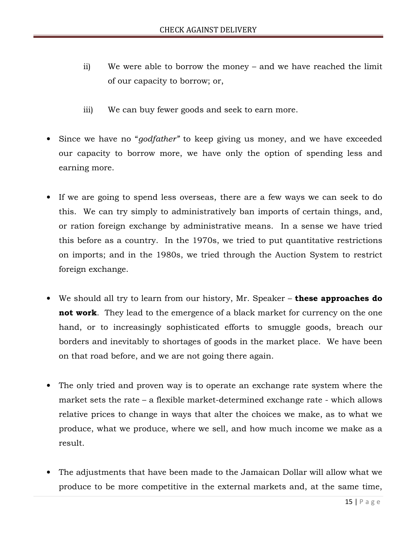- ii) We were able to borrow the money and we have reached the limit of our capacity to borrow; or,
- iii) We can buy fewer goods and seek to earn more.
- Since we have no "*godfather*" to keep giving us money, and we have exceeded our capacity to borrow more, we have only the option of spending less and earning more.
- If we are going to spend less overseas, there are a few ways we can seek to do this. We can try simply to administratively ban imports of certain things, and, or ration foreign exchange by administrative means. In a sense we have tried this before as a country. In the 1970s, we tried to put quantitative restrictions on imports; and in the 1980s, we tried through the Auction System to restrict foreign exchange.
- We should all try to learn from our history, Mr. Speaker these approaches do not work. They lead to the emergence of a black market for currency on the one hand, or to increasingly sophisticated efforts to smuggle goods, breach our borders and inevitably to shortages of goods in the market place. We have been on that road before, and we are not going there again.
- The only tried and proven way is to operate an exchange rate system where the market sets the rate – a flexible market-determined exchange rate - which allows relative prices to change in ways that alter the choices we make, as to what we produce, what we produce, where we sell, and how much income we make as a result.
- The adjustments that have been made to the Jamaican Dollar will allow what we produce to be more competitive in the external markets and, at the same time,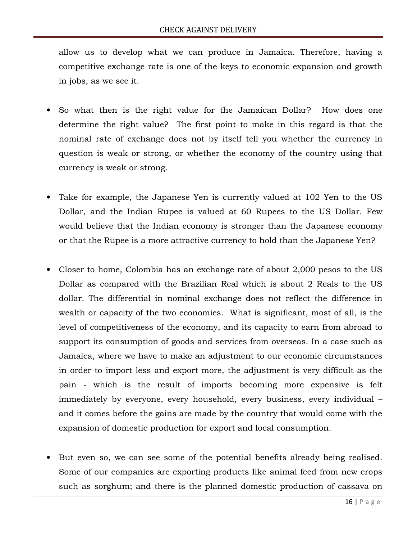allow us to develop what we can produce in Jamaica. Therefore, having a competitive exchange rate is one of the keys to economic expansion and growth in jobs, as we see it.

- So what then is the right value for the Jamaican Dollar? How does one determine the right value? The first point to make in this regard is that the nominal rate of exchange does not by itself tell you whether the currency in question is weak or strong, or whether the economy of the country using that currency is weak or strong.
- Take for example, the Japanese Yen is currently valued at 102 Yen to the US Dollar, and the Indian Rupee is valued at 60 Rupees to the US Dollar. Few would believe that the Indian economy is stronger than the Japanese economy or that the Rupee is a more attractive currency to hold than the Japanese Yen?
- Closer to home, Colombia has an exchange rate of about 2,000 pesos to the US Dollar as compared with the Brazilian Real which is about 2 Reals to the US dollar. The differential in nominal exchange does not reflect the difference in wealth or capacity of the two economies. What is significant, most of all, is the level of competitiveness of the economy, and its capacity to earn from abroad to support its consumption of goods and services from overseas. In a case such as Jamaica, where we have to make an adjustment to our economic circumstances in order to import less and export more, the adjustment is very difficult as the pain - which is the result of imports becoming more expensive is felt immediately by everyone, every household, every business, every individual – and it comes before the gains are made by the country that would come with the expansion of domestic production for export and local consumption.
- But even so, we can see some of the potential benefits already being realised. Some of our companies are exporting products like animal feed from new crops such as sorghum; and there is the planned domestic production of cassava on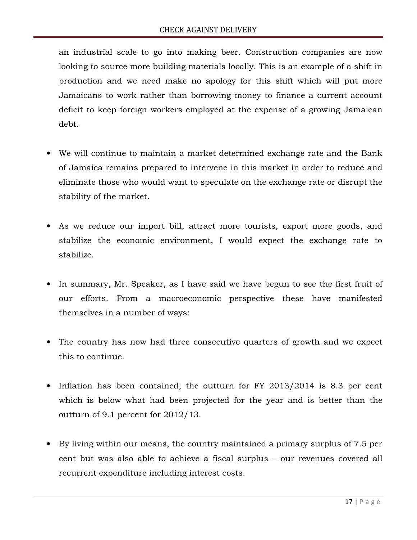an industrial scale to go into making beer. Construction companies are now looking to source more building materials locally. This is an example of a shift in production and we need make no apology for this shift which will put more Jamaicans to work rather than borrowing money to finance a current account deficit to keep foreign workers employed at the expense of a growing Jamaican debt.

- We will continue to maintain a market determined exchange rate and the Bank of Jamaica remains prepared to intervene in this market in order to reduce and eliminate those who would want to speculate on the exchange rate or disrupt the stability of the market.
- As we reduce our import bill, attract more tourists, export more goods, and stabilize the economic environment, I would expect the exchange rate to stabilize.
- In summary, Mr. Speaker, as I have said we have begun to see the first fruit of our efforts. From a macroeconomic perspective these have manifested themselves in a number of ways:
- The country has now had three consecutive quarters of growth and we expect this to continue.
- Inflation has been contained; the outturn for FY 2013/2014 is 8.3 per cent which is below what had been projected for the year and is better than the outturn of 9.1 percent for 2012/13.
- By living within our means, the country maintained a primary surplus of 7.5 per cent but was also able to achieve a fiscal surplus – our revenues covered all recurrent expenditure including interest costs.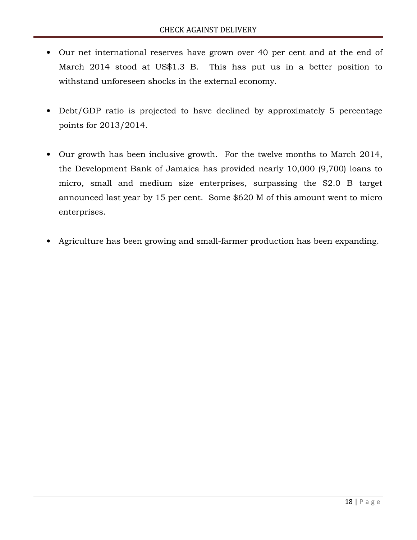- Our net international reserves have grown over 40 per cent and at the end of March 2014 stood at US\$1.3 B. This has put us in a better position to withstand unforeseen shocks in the external economy.
- Debt/GDP ratio is projected to have declined by approximately 5 percentage points for 2013/2014.
- Our growth has been inclusive growth. For the twelve months to March 2014, the Development Bank of Jamaica has provided nearly 10,000 (9,700) loans to micro, small and medium size enterprises, surpassing the \$2.0 B target announced last year by 15 per cent. Some \$620 M of this amount went to micro enterprises.
- Agriculture has been growing and small-farmer production has been expanding.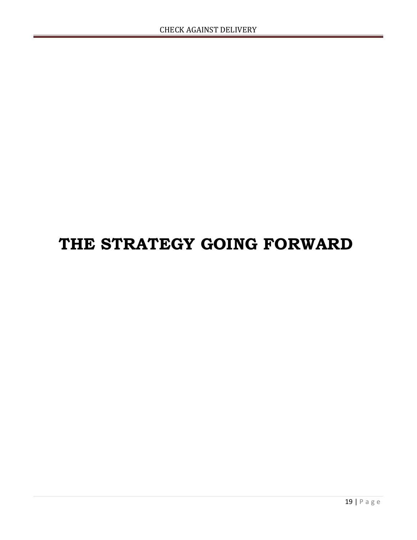### THE STRATEGY GOING FORWARD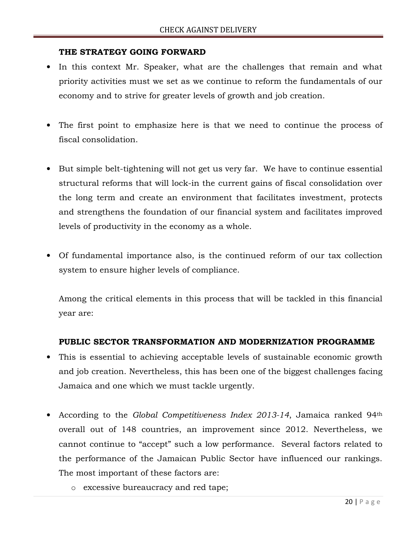#### THE STRATEGY GOING FORWARD

- In this context Mr. Speaker, what are the challenges that remain and what priority activities must we set as we continue to reform the fundamentals of our economy and to strive for greater levels of growth and job creation.
- The first point to emphasize here is that we need to continue the process of fiscal consolidation.
- But simple belt-tightening will not get us very far. We have to continue essential structural reforms that will lock-in the current gains of fiscal consolidation over the long term and create an environment that facilitates investment, protects and strengthens the foundation of our financial system and facilitates improved levels of productivity in the economy as a whole.
- Of fundamental importance also, is the continued reform of our tax collection system to ensure higher levels of compliance.

Among the critical elements in this process that will be tackled in this financial year are:

#### PUBLIC SECTOR TRANSFORMATION AND MODERNIZATION PROGRAMME

- This is essential to achieving acceptable levels of sustainable economic growth and job creation. Nevertheless, this has been one of the biggest challenges facing Jamaica and one which we must tackle urgently.
- According to the Global Competitiveness Index 2013-14, Jamaica ranked 94<sup>th</sup> overall out of 148 countries, an improvement since 2012. Nevertheless, we cannot continue to "accept" such a low performance. Several factors related to the performance of the Jamaican Public Sector have influenced our rankings. The most important of these factors are:
	- o excessive bureaucracy and red tape;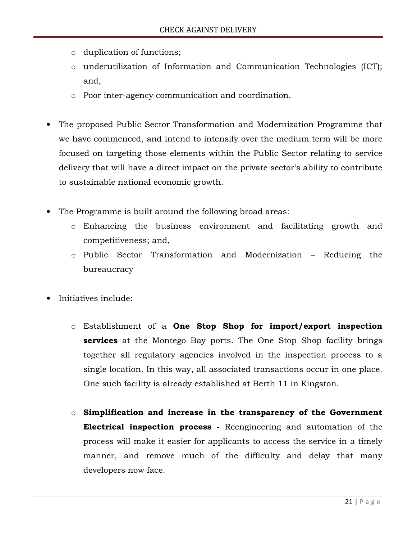- o duplication of functions;
- o underutilization of Information and Communication Technologies (ICT); and,
- o Poor inter-agency communication and coordination.
- The proposed Public Sector Transformation and Modernization Programme that we have commenced, and intend to intensify over the medium term will be more focused on targeting those elements within the Public Sector relating to service delivery that will have a direct impact on the private sector's ability to contribute to sustainable national economic growth.
- The Programme is built around the following broad areas:
	- o Enhancing the business environment and facilitating growth and competitiveness; and,
	- o Public Sector Transformation and Modernization Reducing the bureaucracy
- Initiatives include:
	- o Establishment of a One Stop Shop for import/export inspection **services** at the Montego Bay ports. The One Stop Shop facility brings together all regulatory agencies involved in the inspection process to a single location. In this way, all associated transactions occur in one place. One such facility is already established at Berth 11 in Kingston.
	- $\circ$  Simplification and increase in the transparency of the Government Electrical inspection process - Reengineering and automation of the process will make it easier for applicants to access the service in a timely manner, and remove much of the difficulty and delay that many developers now face.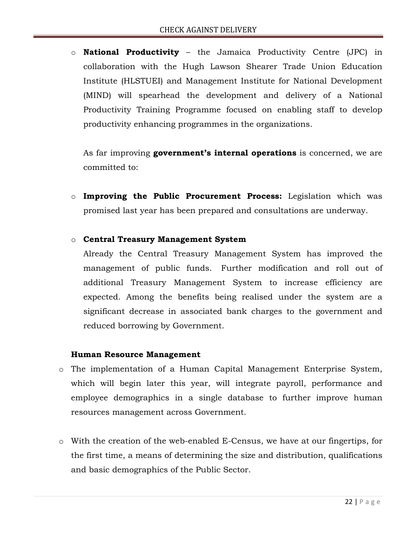$\circ$  **National Productivity** – the Jamaica Productivity Centre (JPC) in collaboration with the Hugh Lawson Shearer Trade Union Education Institute (HLSTUEI) and Management Institute for National Development (MIND) will spearhead the development and delivery of a National Productivity Training Programme focused on enabling staff to develop productivity enhancing programmes in the organizations.

As far improving **government's internal operations** is concerned, we are committed to:

o Improving the Public Procurement Process: Legislation which was promised last year has been prepared and consultations are underway.

#### o Central Treasury Management System

Already the Central Treasury Management System has improved the management of public funds. Further modification and roll out of additional Treasury Management System to increase efficiency are expected. Among the benefits being realised under the system are a significant decrease in associated bank charges to the government and reduced borrowing by Government.

#### Human Resource Management

- o The implementation of a Human Capital Management Enterprise System, which will begin later this year, will integrate payroll, performance and employee demographics in a single database to further improve human resources management across Government.
- o With the creation of the web-enabled E-Census, we have at our fingertips, for the first time, a means of determining the size and distribution, qualifications and basic demographics of the Public Sector.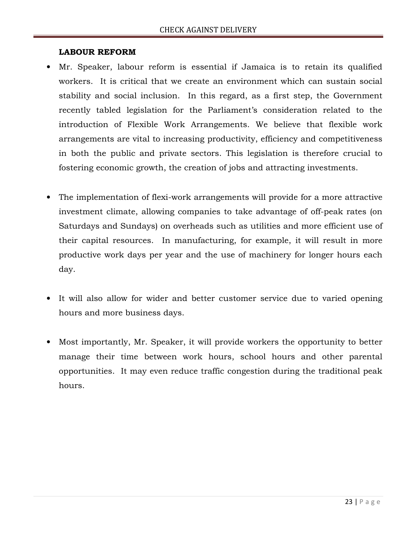#### LABOUR REFORM

- Mr. Speaker, labour reform is essential if Jamaica is to retain its qualified workers. It is critical that we create an environment which can sustain social stability and social inclusion. In this regard, as a first step, the Government recently tabled legislation for the Parliament's consideration related to the introduction of Flexible Work Arrangements. We believe that flexible work arrangements are vital to increasing productivity, efficiency and competitiveness in both the public and private sectors. This legislation is therefore crucial to fostering economic growth, the creation of jobs and attracting investments.
- The implementation of flexi-work arrangements will provide for a more attractive investment climate, allowing companies to take advantage of off-peak rates (on Saturdays and Sundays) on overheads such as utilities and more efficient use of their capital resources. In manufacturing, for example, it will result in more productive work days per year and the use of machinery for longer hours each day.
- It will also allow for wider and better customer service due to varied opening hours and more business days.
- Most importantly, Mr. Speaker, it will provide workers the opportunity to better manage their time between work hours, school hours and other parental opportunities. It may even reduce traffic congestion during the traditional peak hours.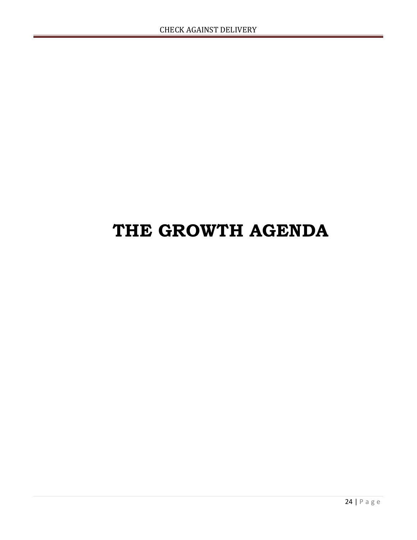### THE GROWTH AGENDA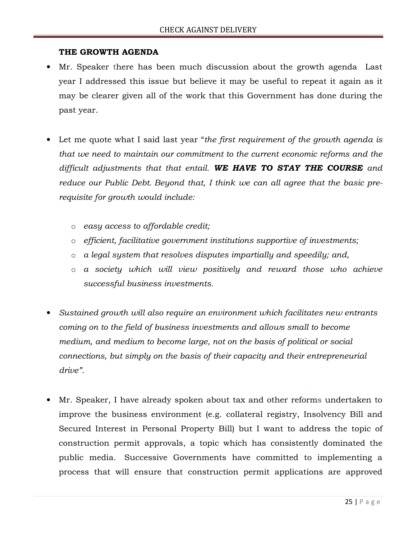#### THE GROWTH AGENDA

- Mr. Speaker there has been much discussion about the growth agenda Last year I addressed this issue but believe it may be useful to repeat it again as it may be clearer given all of the work that this Government has done during the past year.
- Let me quote what I said last year "the first requirement of the growth agenda is that we need to maintain our commitment to the current economic reforms and the difficult adjustments that that entail. WE HAVE TO STAY THE COURSE and reduce our Public Debt. Beyond that, I think we can all agree that the basic prerequisite for growth would include:
	- o easy access to affordable credit;
	- o efficient, facilitative government institutions supportive of investments;
	- o a legal system that resolves disputes impartially and speedily; and,
	- o a society which will view positively and reward those who achieve successful business investments.
- Sustained growth will also require an environment which facilitates new entrants coming on to the field of business investments and allows small to become medium, and medium to become large, not on the basis of political or social connections, but simply on the basis of their capacity and their entrepreneurial drive".
- Mr. Speaker, I have already spoken about tax and other reforms undertaken to improve the business environment (e.g. collateral registry, Insolvency Bill and Secured Interest in Personal Property Bill) but I want to address the topic of construction permit approvals, a topic which has consistently dominated the public media. Successive Governments have committed to implementing a process that will ensure that construction permit applications are approved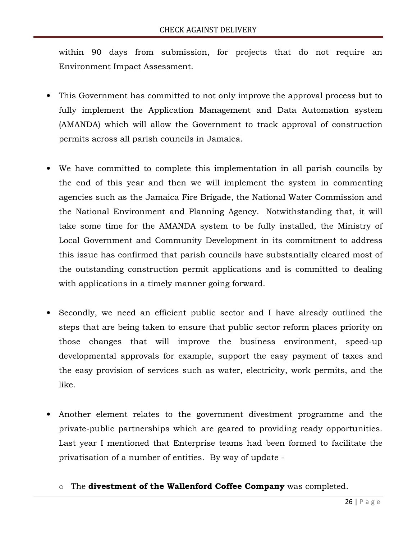within 90 days from submission, for projects that do not require an Environment Impact Assessment.

- This Government has committed to not only improve the approval process but to fully implement the Application Management and Data Automation system (AMANDA) which will allow the Government to track approval of construction permits across all parish councils in Jamaica.
- We have committed to complete this implementation in all parish councils by the end of this year and then we will implement the system in commenting agencies such as the Jamaica Fire Brigade, the National Water Commission and the National Environment and Planning Agency. Notwithstanding that, it will take some time for the AMANDA system to be fully installed, the Ministry of Local Government and Community Development in its commitment to address this issue has confirmed that parish councils have substantially cleared most of the outstanding construction permit applications and is committed to dealing with applications in a timely manner going forward.
- Secondly, we need an efficient public sector and I have already outlined the steps that are being taken to ensure that public sector reform places priority on those changes that will improve the business environment, speed-up developmental approvals for example, support the easy payment of taxes and the easy provision of services such as water, electricity, work permits, and the like.
- Another element relates to the government divestment programme and the private-public partnerships which are geared to providing ready opportunities. Last year I mentioned that Enterprise teams had been formed to facilitate the privatisation of a number of entities. By way of update
	- o The divestment of the Wallenford Coffee Company was completed.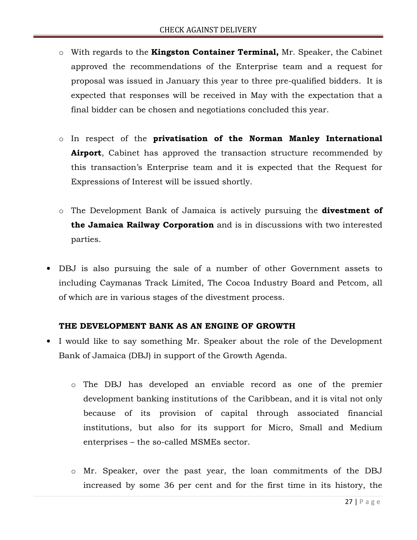- $\circ$  With regards to the **Kingston Container Terminal**, Mr. Speaker, the Cabinet approved the recommendations of the Enterprise team and a request for proposal was issued in January this year to three pre-qualified bidders. It is expected that responses will be received in May with the expectation that a final bidder can be chosen and negotiations concluded this year.
- o In respect of the privatisation of the Norman Manley International **Airport**, Cabinet has approved the transaction structure recommended by this transaction's Enterprise team and it is expected that the Request for Expressions of Interest will be issued shortly.
- o The Development Bank of Jamaica is actively pursuing the **divestment of** the Jamaica Railway Corporation and is in discussions with two interested parties.
- DBJ is also pursuing the sale of a number of other Government assets to including Caymanas Track Limited, The Cocoa Industry Board and Petcom, all of which are in various stages of the divestment process.

#### THE DEVELOPMENT BANK AS AN ENGINE OF GROWTH

- I would like to say something Mr. Speaker about the role of the Development Bank of Jamaica (DBJ) in support of the Growth Agenda.
	- o The DBJ has developed an enviable record as one of the premier development banking institutions of the Caribbean, and it is vital not only because of its provision of capital through associated financial institutions, but also for its support for Micro, Small and Medium enterprises – the so-called MSMEs sector.
	- o Mr. Speaker, over the past year, the loan commitments of the DBJ increased by some 36 per cent and for the first time in its history, the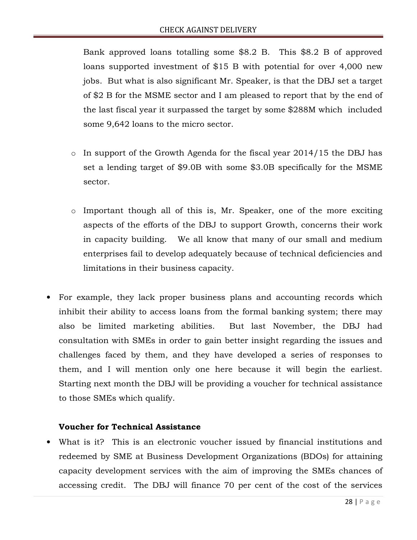Bank approved loans totalling some \$8.2 B. This \$8.2 B of approved loans supported investment of \$15 B with potential for over 4,000 new jobs. But what is also significant Mr. Speaker, is that the DBJ set a target of \$2 B for the MSME sector and I am pleased to report that by the end of the last fiscal year it surpassed the target by some \$288M which included some 9,642 loans to the micro sector.

- $\circ$  In support of the Growth Agenda for the fiscal year 2014/15 the DBJ has set a lending target of \$9.0B with some \$3.0B specifically for the MSME sector.
- $\circ$  Important though all of this is, Mr. Speaker, one of the more exciting aspects of the efforts of the DBJ to support Growth, concerns their work in capacity building. We all know that many of our small and medium enterprises fail to develop adequately because of technical deficiencies and limitations in their business capacity.
- For example, they lack proper business plans and accounting records which inhibit their ability to access loans from the formal banking system; there may also be limited marketing abilities. But last November, the DBJ had consultation with SMEs in order to gain better insight regarding the issues and challenges faced by them, and they have developed a series of responses to them, and I will mention only one here because it will begin the earliest. Starting next month the DBJ will be providing a voucher for technical assistance to those SMEs which qualify.

#### Voucher for Technical Assistance

• What is it? This is an electronic voucher issued by financial institutions and redeemed by SME at Business Development Organizations (BDOs) for attaining capacity development services with the aim of improving the SMEs chances of accessing credit. The DBJ will finance 70 per cent of the cost of the services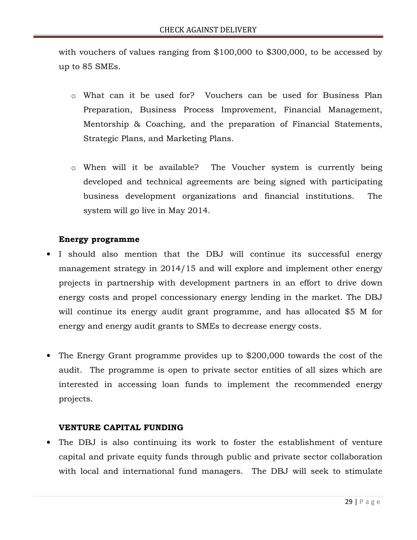with vouchers of values ranging from \$100,000 to \$300,000, to be accessed by up to 85 SMEs.

- o What can it be used for? Vouchers can be used for Business Plan Preparation, Business Process Improvement, Financial Management, Mentorship & Coaching, and the preparation of Financial Statements, Strategic Plans, and Marketing Plans.
- o When will it be available? The Voucher system is currently being developed and technical agreements are being signed with participating business development organizations and financial institutions. The system will go live in May 2014.

#### Energy programme

- I should also mention that the DBJ will continue its successful energy management strategy in 2014/15 and will explore and implement other energy projects in partnership with development partners in an effort to drive down energy costs and propel concessionary energy lending in the market. The DBJ will continue its energy audit grant programme, and has allocated \$5 M for energy and energy audit grants to SMEs to decrease energy costs.
- The Energy Grant programme provides up to \$200,000 towards the cost of the audit. The programme is open to private sector entities of all sizes which are interested in accessing loan funds to implement the recommended energy projects.

#### VENTURE CAPITAL FUNDING

• The DBJ is also continuing its work to foster the establishment of venture capital and private equity funds through public and private sector collaboration with local and international fund managers. The DBJ will seek to stimulate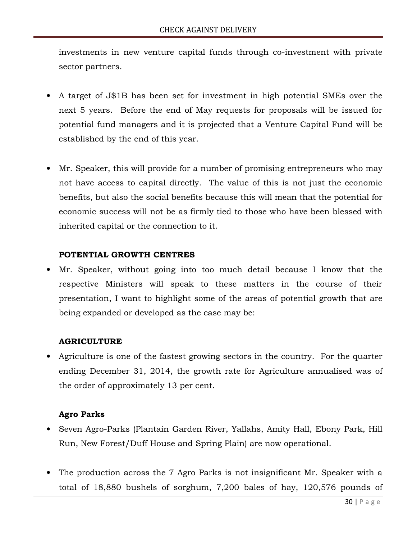investments in new venture capital funds through co-investment with private sector partners.

- A target of J\$1B has been set for investment in high potential SMEs over the next 5 years. Before the end of May requests for proposals will be issued for potential fund managers and it is projected that a Venture Capital Fund will be established by the end of this year.
- Mr. Speaker, this will provide for a number of promising entrepreneurs who may not have access to capital directly. The value of this is not just the economic benefits, but also the social benefits because this will mean that the potential for economic success will not be as firmly tied to those who have been blessed with inherited capital or the connection to it.

#### POTENTIAL GROWTH CENTRES

• Mr. Speaker, without going into too much detail because I know that the respective Ministers will speak to these matters in the course of their presentation, I want to highlight some of the areas of potential growth that are being expanded or developed as the case may be:

#### AGRICULTURE

• Agriculture is one of the fastest growing sectors in the country. For the quarter ending December 31, 2014, the growth rate for Agriculture annualised was of the order of approximately 13 per cent.

#### Agro Parks

- Seven Agro-Parks (Plantain Garden River, Yallahs, Amity Hall, Ebony Park, Hill Run, New Forest/Duff House and Spring Plain) are now operational.
- The production across the 7 Agro Parks is not insignificant Mr. Speaker with a total of 18,880 bushels of sorghum, 7,200 bales of hay, 120,576 pounds of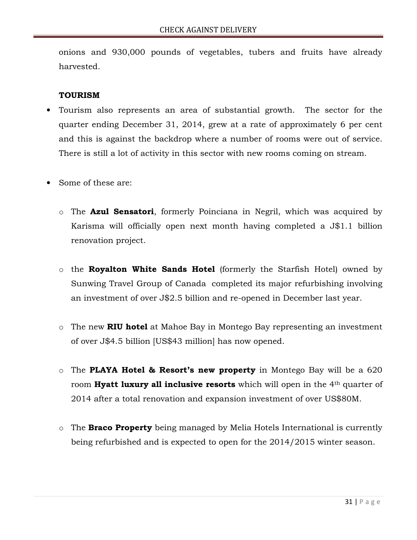onions and 930,000 pounds of vegetables, tubers and fruits have already harvested.

#### TOURISM

- Tourism also represents an area of substantial growth. The sector for the quarter ending December 31, 2014, grew at a rate of approximately 6 per cent and this is against the backdrop where a number of rooms were out of service. There is still a lot of activity in this sector with new rooms coming on stream.
- Some of these are:
	- o The **Azul Sensatori**, formerly Poinciana in Negril, which was acquired by Karisma will officially open next month having completed a J\$1.1 billion renovation project.
	- $\circ$  the **Royalton White Sands Hotel** (formerly the Starfish Hotel) owned by Sunwing Travel Group of Canada completed its major refurbishing involving an investment of over J\$2.5 billion and re-opened in December last year.
	- $\circ$  The new RIU hotel at Mahoe Bay in Montego Bay representing an investment of over J\$4.5 billion [US\$43 million] has now opened.
	- $\circ$  The PLAYA Hotel & Resort's new property in Montego Bay will be a 620 room **Hyatt luxury all inclusive resorts** which will open in the 4<sup>th</sup> quarter of 2014 after a total renovation and expansion investment of over US\$80M.
	- o The **Braco Property** being managed by Melia Hotels International is currently being refurbished and is expected to open for the 2014/2015 winter season.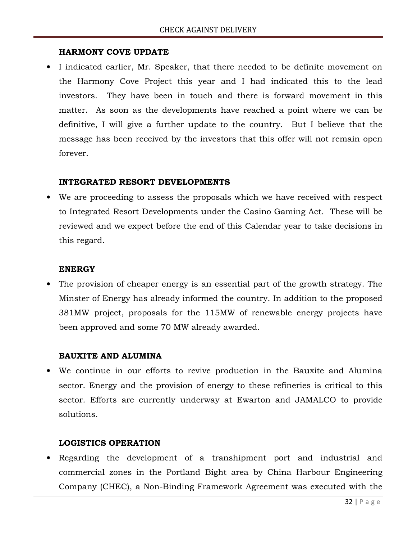#### HARMONY COVE UPDATE

• I indicated earlier, Mr. Speaker, that there needed to be definite movement on the Harmony Cove Project this year and I had indicated this to the lead investors. They have been in touch and there is forward movement in this matter. As soon as the developments have reached a point where we can be definitive, I will give a further update to the country. But I believe that the message has been received by the investors that this offer will not remain open forever.

#### INTEGRATED RESORT DEVELOPMENTS

• We are proceeding to assess the proposals which we have received with respect to Integrated Resort Developments under the Casino Gaming Act. These will be reviewed and we expect before the end of this Calendar year to take decisions in this regard.

#### ENERGY

• The provision of cheaper energy is an essential part of the growth strategy. The Minster of Energy has already informed the country. In addition to the proposed 381MW project, proposals for the 115MW of renewable energy projects have been approved and some 70 MW already awarded.

#### BAUXITE AND ALUMINA

• We continue in our efforts to revive production in the Bauxite and Alumina sector. Energy and the provision of energy to these refineries is critical to this sector. Efforts are currently underway at Ewarton and JAMALCO to provide solutions.

#### LOGISTICS OPERATION

• Regarding the development of a transhipment port and industrial and commercial zones in the Portland Bight area by China Harbour Engineering Company (CHEC), a Non-Binding Framework Agreement was executed with the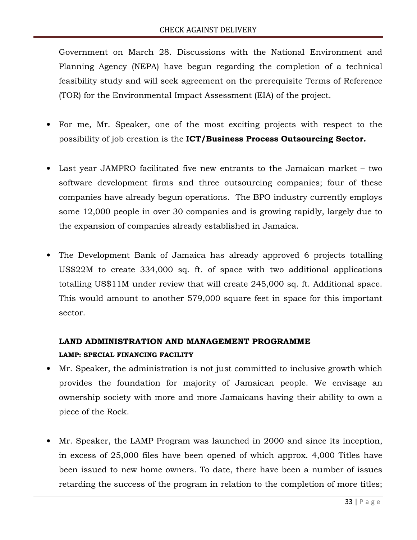Government on March 28. Discussions with the National Environment and Planning Agency (NEPA) have begun regarding the completion of a technical feasibility study and will seek agreement on the prerequisite Terms of Reference (TOR) for the Environmental Impact Assessment (EIA) of the project.

- For me, Mr. Speaker, one of the most exciting projects with respect to the possibility of job creation is the ICT/Business Process Outsourcing Sector.
- Last year JAMPRO facilitated five new entrants to the Jamaican market two software development firms and three outsourcing companies; four of these companies have already begun operations. The BPO industry currently employs some 12,000 people in over 30 companies and is growing rapidly, largely due to the expansion of companies already established in Jamaica.
- The Development Bank of Jamaica has already approved 6 projects totalling US\$22M to create 334,000 sq. ft. of space with two additional applications totalling US\$11M under review that will create 245,000 sq. ft. Additional space. This would amount to another 579,000 square feet in space for this important sector.

### LAND ADMINISTRATION AND MANAGEMENT PROGRAMME LAMP: SPECIAL FINANCING FACILITY

- Mr. Speaker, the administration is not just committed to inclusive growth which provides the foundation for majority of Jamaican people. We envisage an ownership society with more and more Jamaicans having their ability to own a piece of the Rock.
- Mr. Speaker, the LAMP Program was launched in 2000 and since its inception, in excess of 25,000 files have been opened of which approx. 4,000 Titles have been issued to new home owners. To date, there have been a number of issues retarding the success of the program in relation to the completion of more titles;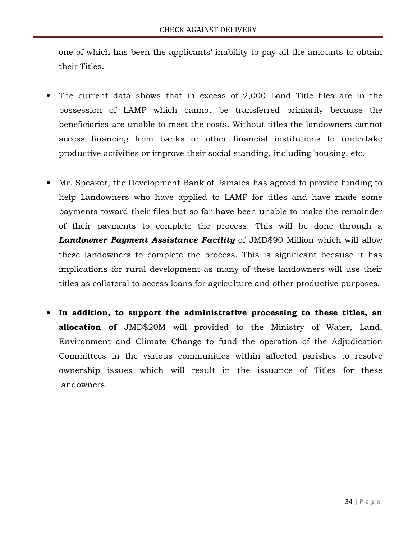one of which has been the applicants' inability to pay all the amounts to obtain their Titles.

- The current data shows that in excess of 2,000 Land Title files are in the possession of LAMP which cannot be transferred primarily because the beneficiaries are unable to meet the costs. Without titles the landowners cannot access financing from banks or other financial institutions to undertake productive activities or improve their social standing, including housing, etc.
- Mr. Speaker, the Development Bank of Jamaica has agreed to provide funding to help Landowners who have applied to LAMP for titles and have made some payments toward their files but so far have been unable to make the remainder of their payments to complete the process. This will be done through a Landowner Payment Assistance Facility of JMD\$90 Million which will allow these landowners to complete the process. This is significant because it has implications for rural development as many of these landowners will use their titles as collateral to access loans for agriculture and other productive purposes.
- In addition, to support the administrative processing to these titles, an allocation of JMD\$20M will provided to the Ministry of Water, Land, Environment and Climate Change to fund the operation of the Adjudication Committees in the various communities within affected parishes to resolve ownership issues which will result in the issuance of Titles for these landowners.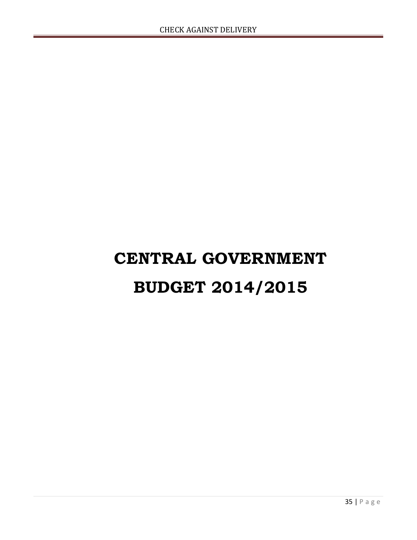# CENTRAL GOVERNMENT BUDGET 2014/2015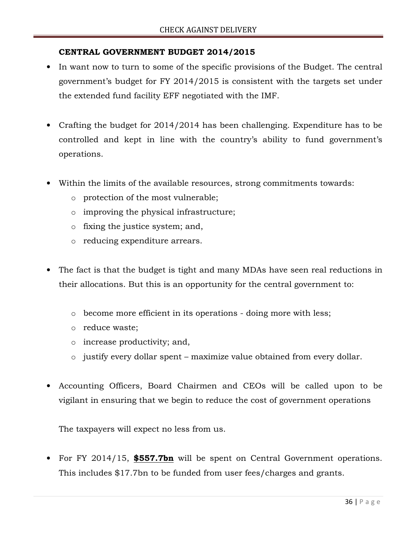#### CENTRAL GOVERNMENT BUDGET 2014/2015

- In want now to turn to some of the specific provisions of the Budget. The central government's budget for FY 2014/2015 is consistent with the targets set under the extended fund facility EFF negotiated with the IMF.
- Crafting the budget for 2014/2014 has been challenging. Expenditure has to be controlled and kept in line with the country's ability to fund government's operations.
- Within the limits of the available resources, strong commitments towards:
	- o protection of the most vulnerable;
	- o improving the physical infrastructure;
	- o fixing the justice system; and,
	- o reducing expenditure arrears.
- The fact is that the budget is tight and many MDAs have seen real reductions in their allocations. But this is an opportunity for the central government to:
	- o become more efficient in its operations doing more with less;
	- o reduce waste;
	- o increase productivity; and,
	- o justify every dollar spent maximize value obtained from every dollar.
- Accounting Officers, Board Chairmen and CEOs will be called upon to be vigilant in ensuring that we begin to reduce the cost of government operations

The taxpayers will expect no less from us.

• For FY 2014/15, **\$557.7bn** will be spent on Central Government operations. This includes \$17.7bn to be funded from user fees/charges and grants.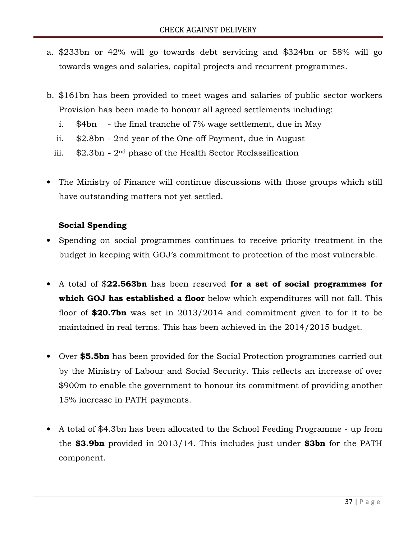- a. \$233bn or 42% will go towards debt servicing and \$324bn or 58% will go towards wages and salaries, capital projects and recurrent programmes.
- b. \$161bn has been provided to meet wages and salaries of public sector workers Provision has been made to honour all agreed settlements including:
	- i. \$4bn the final tranche of 7% wage settlement, due in May
	- ii. \$2.8bn 2nd year of the One-off Payment, due in August
	- iii. \$2.3bn 2nd phase of the Health Sector Reclassification
- The Ministry of Finance will continue discussions with those groups which still have outstanding matters not yet settled.

#### Social Spending

- Spending on social programmes continues to receive priority treatment in the budget in keeping with GOJ's commitment to protection of the most vulnerable.
- A total of \$22.563bn has been reserved for a set of social programmes for which GOJ has established a floor below which expenditures will not fall. This floor of  $$20.7$ bn was set in 2013/2014 and commitment given to for it to be maintained in real terms. This has been achieved in the 2014/2015 budget.
- Over \$5.5bn has been provided for the Social Protection programmes carried out by the Ministry of Labour and Social Security. This reflects an increase of over \$900m to enable the government to honour its commitment of providing another 15% increase in PATH payments.
- A total of \$4.3bn has been allocated to the School Feeding Programme up from the \$3.9bn provided in  $2013/14$ . This includes just under \$3bn for the PATH component.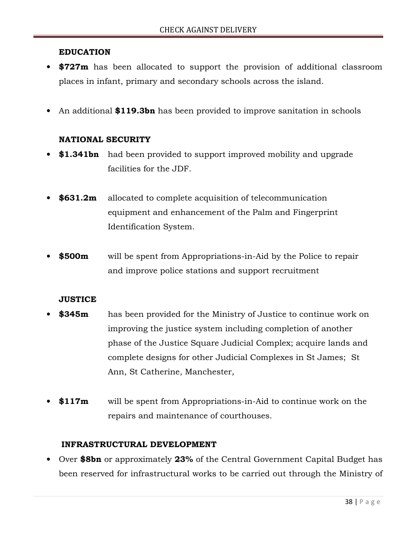#### EDUCATION

- **\$727m** has been allocated to support the provision of additional classroom places in infant, primary and secondary schools across the island.
- An additional \$119.3bn has been provided to improve sanitation in schools

#### NATIONAL SECURITY

- \$1.341bn had been provided to support improved mobility and upgrade facilities for the JDF.
- **\$631.2m** allocated to complete acquisition of telecommunication equipment and enhancement of the Palm and Fingerprint Identification System.
- **\$500m** will be spent from Appropriations-in-Aid by the Police to repair and improve police stations and support recruitment

#### **JUSTICE**

- **\$345m** has been provided for the Ministry of Justice to continue work on improving the justice system including completion of another phase of the Justice Square Judicial Complex; acquire lands and complete designs for other Judicial Complexes in St James; St Ann, St Catherine, Manchester,
- **\$117m** will be spent from Appropriations-in-Aid to continue work on the repairs and maintenance of courthouses.

#### INFRASTRUCTURAL DEVELOPMENT

• Over \$8bn or approximately 23% of the Central Government Capital Budget has been reserved for infrastructural works to be carried out through the Ministry of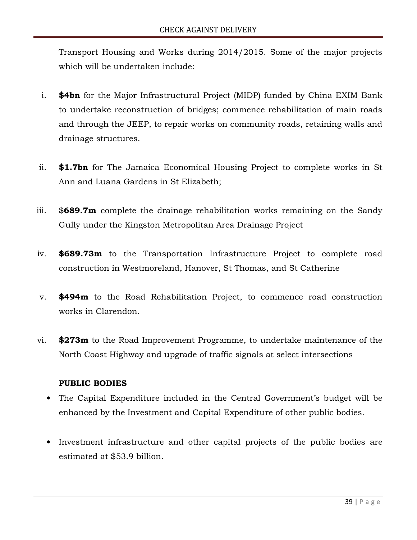Transport Housing and Works during 2014/2015. Some of the major projects which will be undertaken include:

- i. \$4bn for the Major Infrastructural Project (MIDP) funded by China EXIM Bank to undertake reconstruction of bridges; commence rehabilitation of main roads and through the JEEP, to repair works on community roads, retaining walls and drainage structures.
- ii. \$1.7bn for The Jamaica Economical Housing Project to complete works in St Ann and Luana Gardens in St Elizabeth;
- iii.  $$689.7m$  complete the drainage rehabilitation works remaining on the Sandy Gully under the Kingston Metropolitan Area Drainage Project
- iv. \$689.73m to the Transportation Infrastructure Project to complete road construction in Westmoreland, Hanover, St Thomas, and St Catherine
- v. \$494m to the Road Rehabilitation Project, to commence road construction works in Clarendon.
- vi. \$273m to the Road Improvement Programme, to undertake maintenance of the North Coast Highway and upgrade of traffic signals at select intersections

#### PUBLIC BODIES

- The Capital Expenditure included in the Central Government's budget will be enhanced by the Investment and Capital Expenditure of other public bodies.
- Investment infrastructure and other capital projects of the public bodies are estimated at \$53.9 billion.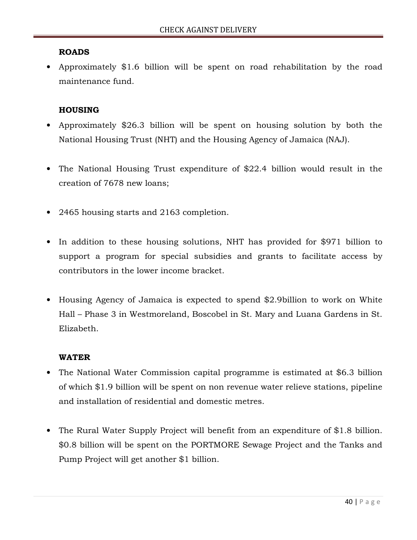#### ROADS

• Approximately \$1.6 billion will be spent on road rehabilitation by the road maintenance fund.

#### **HOUSING**

- Approximately \$26.3 billion will be spent on housing solution by both the National Housing Trust (NHT) and the Housing Agency of Jamaica (NAJ).
- The National Housing Trust expenditure of \$22.4 billion would result in the creation of 7678 new loans;
- 2465 housing starts and 2163 completion.
- In addition to these housing solutions, NHT has provided for \$971 billion to support a program for special subsidies and grants to facilitate access by contributors in the lower income bracket.
- Housing Agency of Jamaica is expected to spend \$2.9billion to work on White Hall – Phase 3 in Westmoreland, Boscobel in St. Mary and Luana Gardens in St. Elizabeth.

#### WATER

- The National Water Commission capital programme is estimated at \$6.3 billion of which \$1.9 billion will be spent on non revenue water relieve stations, pipeline and installation of residential and domestic metres.
- The Rural Water Supply Project will benefit from an expenditure of \$1.8 billion. \$0.8 billion will be spent on the PORTMORE Sewage Project and the Tanks and Pump Project will get another \$1 billion.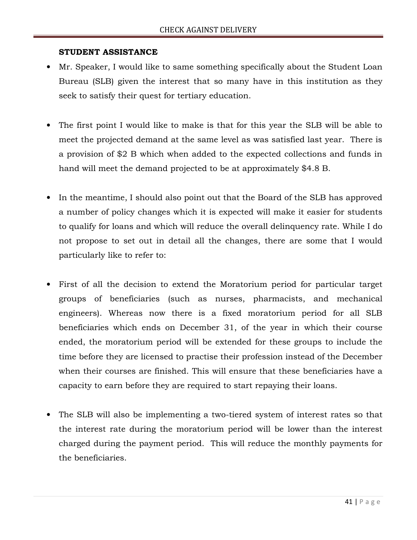#### STUDENT ASSISTANCE

- Mr. Speaker, I would like to same something specifically about the Student Loan Bureau (SLB) given the interest that so many have in this institution as they seek to satisfy their quest for tertiary education.
- The first point I would like to make is that for this year the SLB will be able to meet the projected demand at the same level as was satisfied last year. There is a provision of \$2 B which when added to the expected collections and funds in hand will meet the demand projected to be at approximately \$4.8 B.
- In the meantime, I should also point out that the Board of the SLB has approved a number of policy changes which it is expected will make it easier for students to qualify for loans and which will reduce the overall delinquency rate. While I do not propose to set out in detail all the changes, there are some that I would particularly like to refer to:
- First of all the decision to extend the Moratorium period for particular target groups of beneficiaries (such as nurses, pharmacists, and mechanical engineers). Whereas now there is a fixed moratorium period for all SLB beneficiaries which ends on December 31, of the year in which their course ended, the moratorium period will be extended for these groups to include the time before they are licensed to practise their profession instead of the December when their courses are finished. This will ensure that these beneficiaries have a capacity to earn before they are required to start repaying their loans.
- The SLB will also be implementing a two-tiered system of interest rates so that the interest rate during the moratorium period will be lower than the interest charged during the payment period. This will reduce the monthly payments for the beneficiaries.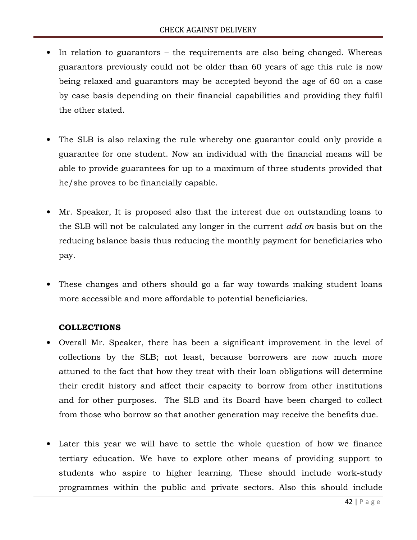- In relation to guarantors the requirements are also being changed. Whereas guarantors previously could not be older than 60 years of age this rule is now being relaxed and guarantors may be accepted beyond the age of 60 on a case by case basis depending on their financial capabilities and providing they fulfil the other stated.
- The SLB is also relaxing the rule whereby one guarantor could only provide a guarantee for one student. Now an individual with the financial means will be able to provide guarantees for up to a maximum of three students provided that he/she proves to be financially capable.
- Mr. Speaker, It is proposed also that the interest due on outstanding loans to the SLB will not be calculated any longer in the current add on basis but on the reducing balance basis thus reducing the monthly payment for beneficiaries who pay.
- These changes and others should go a far way towards making student loans more accessible and more affordable to potential beneficiaries.

#### COLLECTIONS

- Overall Mr. Speaker, there has been a significant improvement in the level of collections by the SLB; not least, because borrowers are now much more attuned to the fact that how they treat with their loan obligations will determine their credit history and affect their capacity to borrow from other institutions and for other purposes. The SLB and its Board have been charged to collect from those who borrow so that another generation may receive the benefits due.
- Later this year we will have to settle the whole question of how we finance tertiary education. We have to explore other means of providing support to students who aspire to higher learning. These should include work-study programmes within the public and private sectors. Also this should include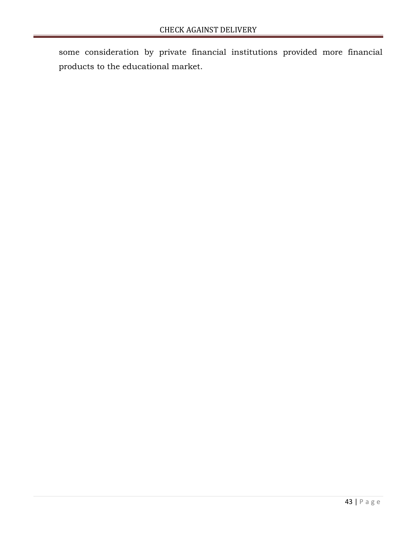some consideration by private financial institutions provided more financial products to the educational market.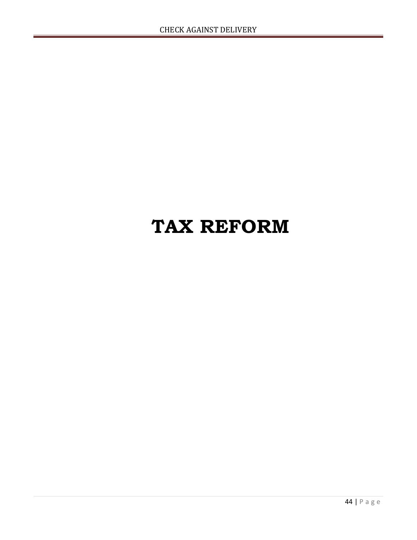## TAX REFORM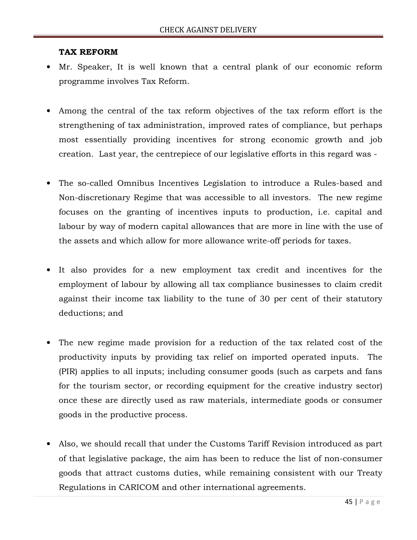#### TAX REFORM

- Mr. Speaker, It is well known that a central plank of our economic reform programme involves Tax Reform.
- Among the central of the tax reform objectives of the tax reform effort is the strengthening of tax administration, improved rates of compliance, but perhaps most essentially providing incentives for strong economic growth and job creation. Last year, the centrepiece of our legislative efforts in this regard was -
- The so-called Omnibus Incentives Legislation to introduce a Rules-based and Non-discretionary Regime that was accessible to all investors. The new regime focuses on the granting of incentives inputs to production, i.e. capital and labour by way of modern capital allowances that are more in line with the use of the assets and which allow for more allowance write-off periods for taxes.
- It also provides for a new employment tax credit and incentives for the employment of labour by allowing all tax compliance businesses to claim credit against their income tax liability to the tune of 30 per cent of their statutory deductions; and
- The new regime made provision for a reduction of the tax related cost of the productivity inputs by providing tax relief on imported operated inputs. The (PIR) applies to all inputs; including consumer goods (such as carpets and fans for the tourism sector, or recording equipment for the creative industry sector) once these are directly used as raw materials, intermediate goods or consumer goods in the productive process.
- Also, we should recall that under the Customs Tariff Revision introduced as part of that legislative package, the aim has been to reduce the list of non-consumer goods that attract customs duties, while remaining consistent with our Treaty Regulations in CARICOM and other international agreements.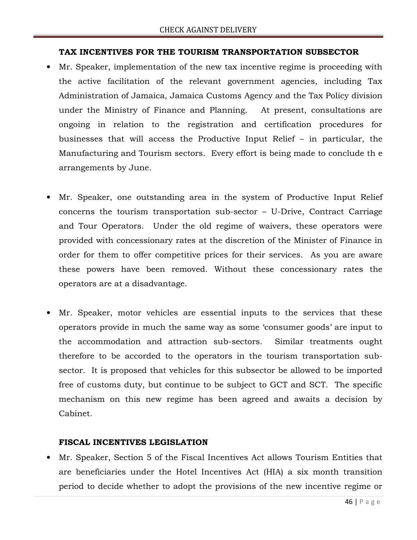#### TAX INCENTIVES FOR THE TOURISM TRANSPORTATION SUBSECTOR

- Mr. Speaker, implementation of the new tax incentive regime is proceeding with the active facilitation of the relevant government agencies, including Tax Administration of Jamaica, Jamaica Customs Agency and the Tax Policy division under the Ministry of Finance and Planning. At present, consultations are ongoing in relation to the registration and certification procedures for businesses that will access the Productive Input Relief – in particular, the Manufacturing and Tourism sectors. Every effort is being made to conclude th e arrangements by June.
- Mr. Speaker, one outstanding area in the system of Productive Input Relief concerns the tourism transportation sub-sector – U-Drive, Contract Carriage and Tour Operators. Under the old regime of waivers, these operators were provided with concessionary rates at the discretion of the Minister of Finance in order for them to offer competitive prices for their services. As you are aware these powers have been removed. Without these concessionary rates the operators are at a disadvantage.
- Mr. Speaker, motor vehicles are essential inputs to the services that these operators provide in much the same way as some 'consumer goods' are input to the accommodation and attraction sub-sectors. Similar treatments ought therefore to be accorded to the operators in the tourism transportation subsector. It is proposed that vehicles for this subsector be allowed to be imported free of customs duty, but continue to be subject to GCT and SCT. The specific mechanism on this new regime has been agreed and awaits a decision by Cabinet.

#### FISCAL INCENTIVES LEGISLATION

• Mr. Speaker, Section 5 of the Fiscal Incentives Act allows Tourism Entities that are beneficiaries under the Hotel Incentives Act (HIA) a six month transition period to decide whether to adopt the provisions of the new incentive regime or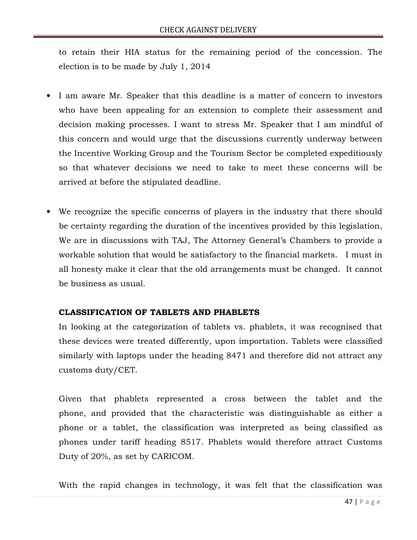to retain their HIA status for the remaining period of the concession. The election is to be made by July 1, 2014

- I am aware Mr. Speaker that this deadline is a matter of concern to investors who have been appealing for an extension to complete their assessment and decision making processes. I want to stress Mr. Speaker that I am mindful of this concern and would urge that the discussions currently underway between the Incentive Working Group and the Tourism Sector be completed expeditiously so that whatever decisions we need to take to meet these concerns will be arrived at before the stipulated deadline.
- We recognize the specific concerns of players in the industry that there should be certainty regarding the duration of the incentives provided by this legislation, We are in discussions with TAJ, The Attorney General's Chambers to provide a workable solution that would be satisfactory to the financial markets. I must in all honesty make it clear that the old arrangements must be changed. It cannot be business as usual.

#### CLASSIFICATION OF TABLETS AND PHABLETS

In looking at the categorization of tablets vs. phablets, it was recognised that these devices were treated differently, upon importation. Tablets were classified similarly with laptops under the heading 8471 and therefore did not attract any customs duty/CET.

Given that phablets represented a cross between the tablet and the phone, and provided that the characteristic was distinguishable as either a phone or a tablet, the classification was interpreted as being classified as phones under tariff heading 8517. Phablets would therefore attract Customs Duty of 20%, as set by CARICOM.

With the rapid changes in technology, it was felt that the classification was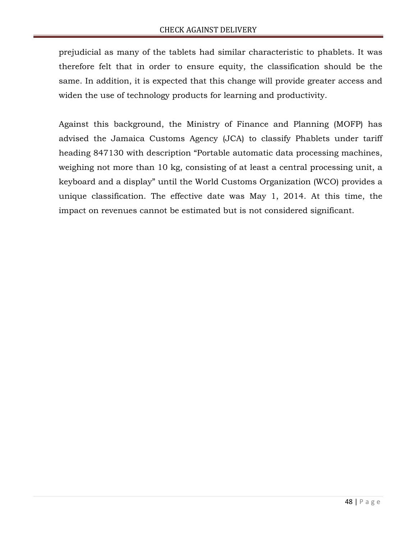prejudicial as many of the tablets had similar characteristic to phablets. It was therefore felt that in order to ensure equity, the classification should be the same. In addition, it is expected that this change will provide greater access and widen the use of technology products for learning and productivity.

Against this background, the Ministry of Finance and Planning (MOFP) has advised the Jamaica Customs Agency (JCA) to classify Phablets under tariff heading 847130 with description "Portable automatic data processing machines, weighing not more than 10 kg, consisting of at least a central processing unit, a keyboard and a display" until the World Customs Organization (WCO) provides a unique classification. The effective date was May 1, 2014. At this time, the impact on revenues cannot be estimated but is not considered significant.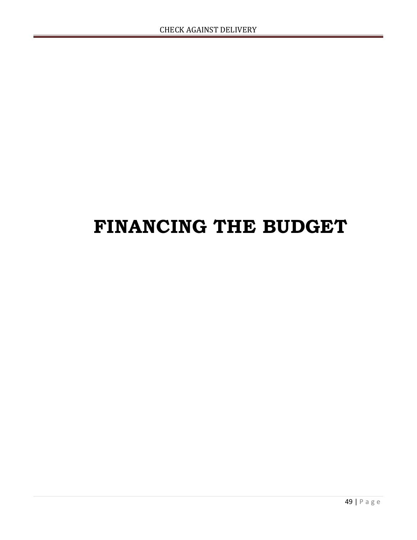# FINANCING THE BUDGET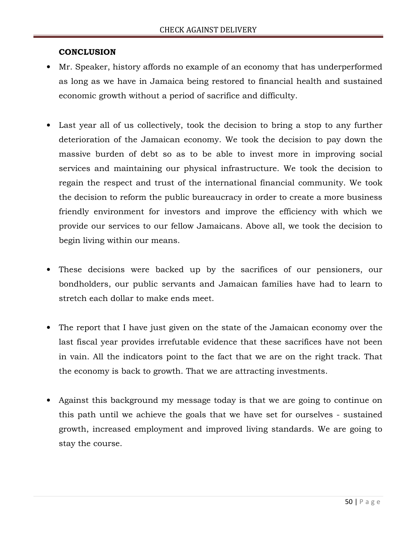#### **CONCLUSION**

- Mr. Speaker, history affords no example of an economy that has underperformed as long as we have in Jamaica being restored to financial health and sustained economic growth without a period of sacrifice and difficulty.
- Last year all of us collectively, took the decision to bring a stop to any further deterioration of the Jamaican economy. We took the decision to pay down the massive burden of debt so as to be able to invest more in improving social services and maintaining our physical infrastructure. We took the decision to regain the respect and trust of the international financial community. We took the decision to reform the public bureaucracy in order to create a more business friendly environment for investors and improve the efficiency with which we provide our services to our fellow Jamaicans. Above all, we took the decision to begin living within our means.
- These decisions were backed up by the sacrifices of our pensioners, our bondholders, our public servants and Jamaican families have had to learn to stretch each dollar to make ends meet.
- The report that I have just given on the state of the Jamaican economy over the last fiscal year provides irrefutable evidence that these sacrifices have not been in vain. All the indicators point to the fact that we are on the right track. That the economy is back to growth. That we are attracting investments.
- Against this background my message today is that we are going to continue on this path until we achieve the goals that we have set for ourselves - sustained growth, increased employment and improved living standards. We are going to stay the course.